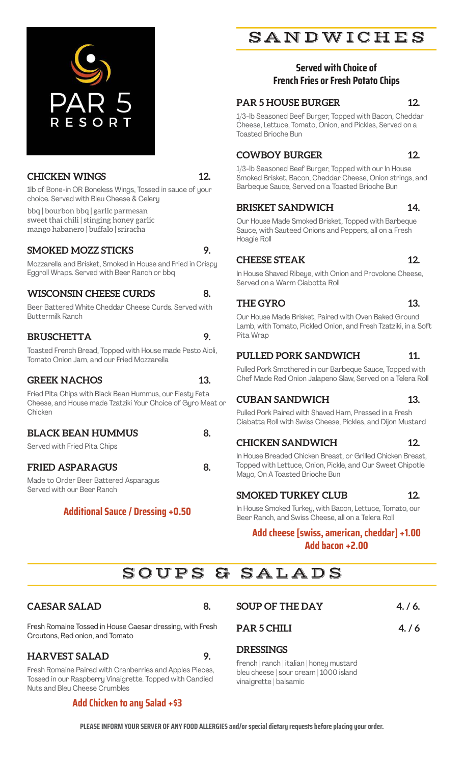

# **CHICKEN WINGS 12.**

1lb of Bone-in OR Boneless Wings, Tossed in sauce of your choice. Served with Bleu Cheese & Celery

bbq | bourbon bbq | garlic parmesan sweet thai chili | stinging honey garlic mango habanero | buffalo | sriracha

#### **SMOKED MOZZ STICKS 9.**

Mozzarella and Brisket, Smoked in House and Fried in Crispy Eggroll Wraps. Served with Beer Ranch or bbq

# **WISCONSIN CHEESE CURDS** 8.

Beer Battered White Cheddar Cheese Curds. Served with Buttermilk Ranch

# **BRUSCHETTA 9.**

Toasted French Bread, Topped with House made Pesto Aioli, Tomato Onion Jam, and our Fried Mozzarella

#### GREEK NACHOS 13.

Fried Pita Chips with Black Bean Hummus, our Fiesty Feta Cheese, and House made Tzatziki Your Choice of Gyro Meat or **Chicken** 

# **BLACK BEAN HUMMUS** 8.

Served with Fried Pita Chips

#### **FRIED ASPARAGUS 8.**

Made to Order Beer Battered Asparagus Served with our Beer Ranch

# **Additional Sauce / Dressing +0.50**

# SANDWICHES

# **Served with Choice of French Fries or Fresh Potato Chips**

# **PAR 5 HOUSE BURGER 12.**

1/3-lb Seasoned Beef Burger, Topped with Bacon, Cheddar Cheese, Lettuce, Tomato, Onion, and Pickles, Served on a Toasted Brioche Bun

# **COWBOY BURGER 12.**

1/3-lb Seasoned Beef Burger, Topped with our In House Smoked Brisket, Bacon, Cheddar Cheese, Onion strings, and Barbeque Sauce, Served on a Toasted Brioche Bun

#### **BRISKET SANDWICH 14.**

Our House Made Smoked Brisket, Topped with Barbeque Sauce, with Sauteed Onions and Peppers, all on a Fresh Hoagie Roll

#### **CHEESE STEAK 12.**

In House Shaved Ribeye, with Onion and Provolone Cheese, Served on a Warm Ciabotta Roll

#### THE GYRO 13.

Our House Made Brisket, Paired with Oven Baked Ground Lamb, with Tomato, Pickled Onion, and Fresh Tzatziki, in a Soft Pita Wrap

# PULLED PORK SANDWICH 11.

Pulled Pork Smothered in our Barbeque Sauce, Topped with Chef Made Red Onion Jalapeno Slaw, Served on a Telera Roll

# **CUBAN SANDWICH 13.**

Pulled Pork Paired with Shaved Ham, Pressed in a Fresh Ciabatta Roll with Swiss Cheese, Pickles, and Dijon Mustard

# **CHICKEN SANDWICH 12.**

In House Breaded Chicken Breast, or Grilled Chicken Breast, Topped with Lettuce, Onion, Pickle, and Our Sweet Chipotle Mayo, On A Toasted Brioche Bun

# **SMOKED TURKEY CLUB 12.**

In House Smoked Turkey, with Bacon, Lettuce, Tomato, our Beer Ranch, and Swiss Cheese, all on a Telera Roll

# **Add cheese [swiss, american, cheddar] +1.00 Add bacon +2.00**

|  |  |  | SOUPS & SALADS |  |  |
|--|--|--|----------------|--|--|
|  |  |  |                |  |  |

# CAESAR SALAD 8.

Fresh Romaine Tossed in House Caesar dressing, with Fresh Croutons, Red onion, and Tomato

# **HARVEST SALAD 9.**

Fresh Romaine Paired with Cranberries and Apples Pieces, Tossed in our Raspberry Vinaigrette. Topped with Candied Nuts and Bleu Cheese Crumbles

# **Add Chicken to any Salad +\$3**

| <b>SOUP OF THE DAY</b> | 4./6. |
|------------------------|-------|
|                        |       |

**PAR 5 CHILI 4. / 6**

# **DRESSINGS**

french | ranch | italian | honey mustard bleu cheese | sour cream | 1000 island vinaigrette | balsamic